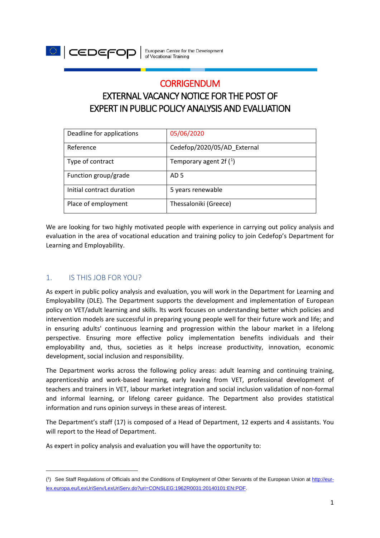

# **CORRIGENDUM**

# EXTERNAL VACANCY NOTICE FOR THE POST OF EXPERT IN PUBLIC POLICY ANALYSIS AND EVALUATION

| Deadline for applications | 05/06/2020                  |
|---------------------------|-----------------------------|
| Reference                 | Cedefop/2020/05/AD_External |
| Type of contract          | Temporary agent 2f $(1)$    |
| Function group/grade      | AD <sub>5</sub>             |
| Initial contract duration | 5 years renewable           |
| Place of employment       | Thessaloniki (Greece)       |

We are looking for two highly motivated people with experience in carrying out policy analysis and evaluation in the area of vocational education and training policy to join Cedefop's Department for Learning and Employability.

## 1. IS THIS JOB FOR YOU?

 $\overline{a}$ 

As expert in public policy analysis and evaluation, you will work in the Department for Learning and Employability (DLE). The Department supports the development and implementation of European policy on VET/adult learning and skills. lts work focuses on understanding better which policies and intervention models are successful in preparing young people well for their future work and life; and in ensuring adults' continuous learning and progression within the labour market in a lifelong perspective. Ensuring more effective policy implementation benefits individuals and their employability and, thus, societies as it helps increase productivity, innovation, economic development, social inclusion and responsibility.

The Department works across the following policy areas: adult learning and continuing training, apprenticeship and work-based learning, early leaving from VET, professional development of teachers and trainers in VET, labour market integration and social inclusion validation of non-formal and informal learning, or lifelong career guidance. The Department also provides statistical information and runs opinion surveys in these areas of interest.

The Department's staff (17) is composed of a Head of Department, 12 experts and 4 assistants. You will report to the Head of Department.

As expert in policy analysis and evaluation you will have the opportunity to:

<span id="page-0-0"></span><sup>(&</sup>lt;sup>1</sup>) See Staff Regulations of Officials and the Conditions of Employment of Other Servants of the European Union at [http://eur](http://eur-lex.europa.eu/LexUriServ/LexUriServ.do?uri=CONSLEG:1962R0031:20140101:EN:PDF)[lex.europa.eu/LexUriServ/LexUriServ.do?uri=CONSLEG:1962R0031:20140101:EN:PDF.](http://eur-lex.europa.eu/LexUriServ/LexUriServ.do?uri=CONSLEG:1962R0031:20140101:EN:PDF)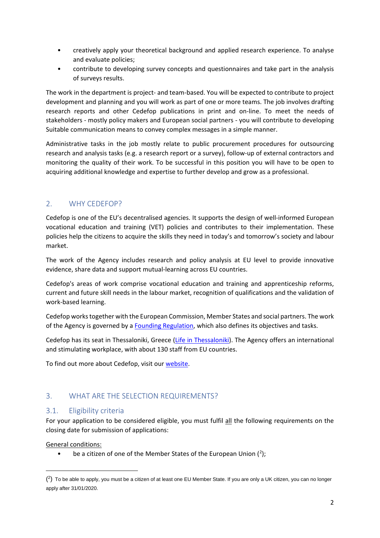- creatively apply your theoretical background and applied research experience. To analyse and evaluate policies;
- contribute to developing survey concepts and questionnaires and take part in the analysis of surveys results.

The work in the department is project- and team-based. You will be expected to contribute to project development and planning and you will work as part of one or more teams. The job involves drafting research reports and other Cedefop publications in print and on-line. To meet the needs of stakeholders - mostly policy makers and European social partners - you will contribute to developing Suitable communication means to convey complex messages in a simple manner.

Administrative tasks in the job mostly relate to public procurement procedures for outsourcing research and analysis tasks (e.g. a research report or a survey), follow-up of external contractors and monitoring the quality of their work. To be successful in this position you will have to be open to acquiring additional knowledge and expertise to further develop and grow as a professional.

## 2. WHY CEDEFOP?

Cedefop is one of the EU's decentralised agencies. It supports the design of well-informed European vocational education and training (VET) policies and contributes to their implementation. These policies help the citizens to acquire the skills they need in today's and tomorrow's society and labour market.

The work of the Agency includes research and policy analysis at EU level to provide innovative evidence, share data and support mutual-learning across EU countries.

Cedefop's areas of work comprise vocational education and training and apprenticeship reforms, current and future skill needs in the labour market, recognition of qualifications and the validation of work-based learning.

Cedefop works together with the European Commission, Member States and social partners. The work of the Agency is governed by a [Founding Regulation,](https://www.cedefop.europa.eu/en/about-cedefop/what-we-do/cedefop-regulation) which also defines its objectives and tasks.

Cedefop has its seat in Thessaloniki, Greece [\(Life in Thessaloniki\)](https://www.cedefop.europa.eu/en/about-cedefop/recruitment). The Agency offers an international and stimulating workplace, with about 130 staff from EU countries.

To find out more about Cedefop, visit ou[r website.](https://www.cedefop.europa.eu/en/about-cedefop)

## 3. WHAT ARE THE SELECTION REQUIREMENTS?

#### 3.1. Eligibility criteria

For your application to be considered eligible, you must fulfil all the following requirements on the closing date for submission of applications:

General conditions:

 $\overline{a}$ 

• be a citizen of one of the Member States of the European Union  $(^2)$  $(^2)$  $(^2)$ ;

<span id="page-1-0"></span> $(^2)$  To be able to apply, you must be a citizen of at least one EU Member State. If you are only a UK citizen, you can no longer apply after 31/01/2020.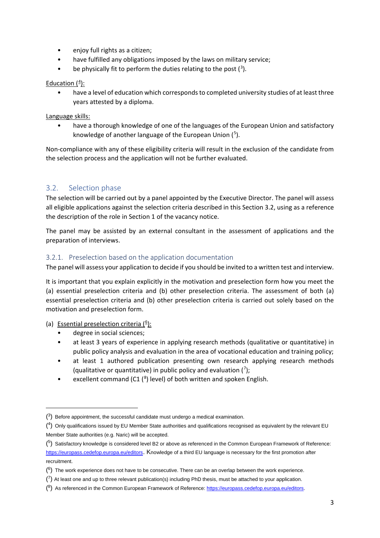- enjoy full rights as a citizen;
- have fulfilled any obligations imposed by the laws on military service;
- $\bullet$  be physically fit to perform the duties relating to the post  $(3)$  $(3)$  $(3)$ .

#### Education ([4](#page-2-1)):

have a level of education which corresponds to completed university studies of at least three years attested by a diploma.

#### Language skills:

• have a thorough knowledge of one of the languages of the European Union and satisfactory knowledge of another language of the European Union ([5](#page-2-2)).

Non-compliance with any of these eligibility criteria will result in the exclusion of the candidate from the selection process and the application will not be further evaluated.

## 3.2. Selection phase

The selection will be carried out by a panel appointed by the Executive Director. The panel will assess all eligible applications against the selection criteria described in this Section 3.2, using as a reference the description of the role in Section 1 of the vacancy notice.

The panel may be assisted by an external consultant in the assessment of applications and the preparation of interviews.

#### 3.2.1. Preselection based on the application documentation

The panel will assess your application to decide if you should be invited to a written test and interview.

It is important that you explain explicitly in the motivation and preselection form how you meet the (a) essential preselection criteria and (b) other preselection criteria. The assessment of both (a) essential preselection criteria and (b) other preselection criteria is carried out solely based on the motivation and preselection form.

(a) Essential preselection criteria (<sup>[6](#page-2-3)</sup>):

<u>.</u>

- degree in social sciences;
- at least 3 years of experience in applying research methods (qualitative or quantitative) in public policy analysis and evaluation in the area of vocational education and training policy;
- at least 1 authored publication presenting own research applying research methods (qualitative or quantitative) in public policy and evaluation  $(7)$  $(7)$  $(7)$ ;
- excellent command (C1 $(^{8})$  $(^{8})$  $(^{8})$  level) of both written and spoken English.

<span id="page-2-0"></span> $(3)$  Before appointment, the successful candidate must undergo a medical examination.

<span id="page-2-1"></span><sup>(</sup> 4) Only qualifications issued by EU Member State authorities and qualifications recognised as equivalent by the relevant EU Member State authorities (e.g. Naric) will be accepted.

<span id="page-2-2"></span> $(5)$  Satisfactory knowledge is considered level B2 or above as referenced in the Common European Framework of Reference: [https://europass.cedefop.europa.eu/editors.](https://europass.cedefop.europa.eu/editors) Knowledge of a third EU language is necessary for the first promotion after recruitment.

<span id="page-2-3"></span> $(6)$  The work experience does not have to be consecutive. There can be an overlap between the work experience.

<span id="page-2-4"></span> $(7)$  At least one and up to three relevant publication(s) including PhD thesis, must be attached to your application.

<span id="page-2-5"></span><sup>(&</sup>lt;sup>8</sup>) As referenced in the Common European Framework of Reference: [https://europass.cedefop.europa.eu/editors.](https://europass.cedefop.europa.eu/editors)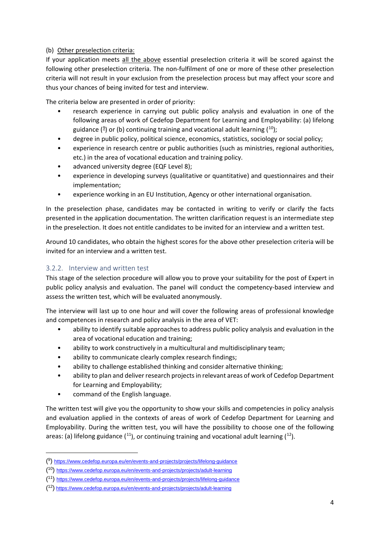#### (b) Other preselection criteria:

If your application meets all the above essential preselection criteria it will be scored against the following other preselection criteria. The non-fulfilment of one or more of these other preselection criteria will not result in your exclusion from the preselection process but may affect your score and thus your chances of being invited for test and interview.

The criteria below are presented in order of priority:

- research experience in carrying out public policy analysis and evaluation in one of the following areas of work of Cedefop Department for Learning and Employability: (a) lifelong guidance ( $9$ ) or (b) continuing training and vocational adult learning ( $^{10}$  $^{10}$  $^{10}$ );
- degree in public policy, political science, economics, statistics, sociology or social policy;
- experience in research centre or public authorities (such as ministries, regional authorities, etc.) in the area of vocational education and training policy.
- advanced university degree (EQF Level 8);
- experience in developing surveys (qualitative or quantitative) and questionnaires and their implementation;
- experience working in an EU Institution, Agency or other international organisation.

In the preselection phase, candidates may be contacted in writing to verify or clarify the facts presented in the application documentation. The written clarification request is an intermediate step in the preselection. It does not entitle candidates to be invited for an interview and a written test.

Around 10 candidates, who obtain the highest scores for the above other preselection criteria will be invited for an interview and a written test.

#### 3.2.2. Interview and written test

This stage of the selection procedure will allow you to prove your suitability for the post of Expert in public policy analysis and evaluation. The panel will conduct the competency-based interview and assess the written test, which will be evaluated anonymously.

The interview will last up to one hour and will cover the following areas of professional knowledge and competences in research and policy analysis in the area of VET:

- ability to identify suitable approaches to address public policy analysis and evaluation in the area of vocational education and training;
- ability to work constructively in a multicultural and multidisciplinary team;
- ability to communicate clearly complex research findings;
- ability to challenge established thinking and consider alternative thinking;
- ability to plan and deliver research projects in relevant areas of work of Cedefop Department for Learning and Employability;
- command of the English language.

**.** 

The written test will give you the opportunity to show your skills and competencies in policy analysis and evaluation applied in the contexts of areas of work of Cedefop Department for Learning and Employability. During the written test, you will have the possibility to choose one of the following areas: (a) lifelong guidance  $(11)$  $(11)$ , or continuing training and vocational adult learning  $(12)$  $(12)$ .

<span id="page-3-0"></span><sup>(</sup> 9)<https://www.cedefop.europa.eu/en/events-and-projects/projects/lifelong-guidance>

<span id="page-3-1"></span><sup>(</sup> 10)<https://www.cedefop.europa.eu/en/events-and-projects/projects/adult-learning>

<span id="page-3-2"></span><sup>(</sup> 11)<https://www.cedefop.europa.eu/en/events-and-projects/projects/lifelong-guidance>

<span id="page-3-3"></span><sup>(</sup> 12) <https://www.cedefop.europa.eu/en/events-and-projects/projects/adult-learning>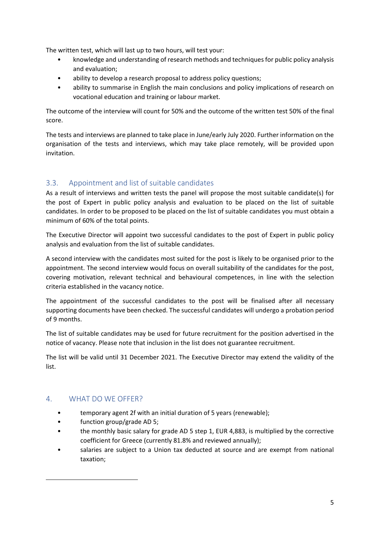The written test, which will last up to two hours, will test your:

- knowledge and understanding of research methods and techniques for public policy analysis and evaluation;
- ability to develop a research proposal to address policy questions;
- ability to summarise in English the main conclusions and policy implications of research on vocational education and training or labour market.

The outcome of the interview will count for 50% and the outcome of the written test 50% of the final score.

The tests and interviews are planned to take place in June/early July 2020. Further information on the organisation of the tests and interviews, which may take place remotely, will be provided upon invitation.

## 3.3. Appointment and list of suitable candidates

As a result of interviews and written tests the panel will propose the most suitable candidate(s) for the post of Expert in public policy analysis and evaluation to be placed on the list of suitable candidates. In order to be proposed to be placed on the list of suitable candidates you must obtain a minimum of 60% of the total points.

The Executive Director will appoint two successful candidates to the post of Expert in public policy analysis and evaluation from the list of suitable candidates.

A second interview with the candidates most suited for the post is likely to be organised prior to the appointment. The second interview would focus on overall suitability of the candidates for the post, covering motivation, relevant technical and behavioural competences, in line with the selection criteria established in the vacancy notice.

The appointment of the successful candidates to the post will be finalised after all necessary supporting documents have been checked. The successful candidates will undergo a probation period of 9 months.

The list of suitable candidates may be used for future recruitment for the position advertised in the notice of vacancy. Please note that inclusion in the list does not guarantee recruitment.

The list will be valid until 31 December 2021. The Executive Director may extend the validity of the list.

## 4. WHAT DO WE OFFER?

**.** 

- temporary agent 2f with an initial duration of 5 years (renewable);
- function group/grade AD 5;
- the monthly basic salary for grade AD 5 step 1, EUR 4,883, is multiplied by the corrective coefficient for Greece (currently 81.8% and reviewed annually);
- salaries are subject to a Union tax deducted at source and are exempt from national taxation;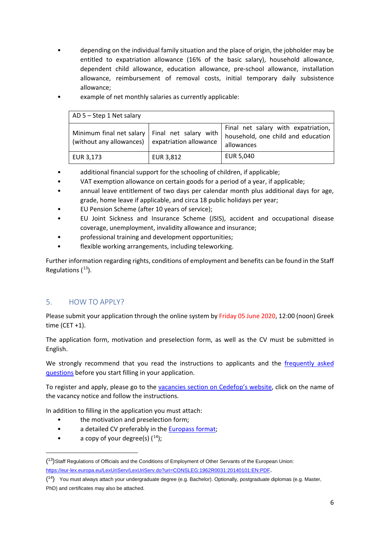• depending on the individual family situation and the place of origin, the jobholder may be entitled to expatriation allowance (16% of the basic salary), household allowance, dependent child allowance, education allowance, pre-school allowance, installation allowance, reimbursement of removal costs, initial temporary daily subsistence allowance;

| $AD 5 - Step 1 Net salary$                                                                              |           |                                                                                         |
|---------------------------------------------------------------------------------------------------------|-----------|-----------------------------------------------------------------------------------------|
| Minimum final net salary   Final net salary with  <br>(without any allowances)   expatriation allowance |           | Final net salary with expatriation,<br>household, one child and education<br>allowances |
| EUR 3,173                                                                                               | EUR 3,812 | EUR 5,040                                                                               |

example of net monthly salaries as currently applicable:

- additional financial support for the schooling of children, if applicable;
- VAT exemption allowance on certain goods for a period of a year, if applicable;
- annual leave entitlement of two days per calendar month plus additional days for age, grade, home leave if applicable, and circa 18 public holidays per year;
- EU Pension Scheme (after 10 years of service);
- EU Joint Sickness and Insurance Scheme (JSIS), accident and occupational disease coverage, unemployment, invalidity allowance and insurance;
- professional training and development opportunities;
- flexible working arrangements, including teleworking.

Further information regarding rights, conditions of employment and benefits can be found in the Staff Regulations  $(13)$  $(13)$ .

#### 5. HOW TO APPLY?

Please submit your application through the online system by Friday 05 June 2020, 12:00 (noon) Greek time  $(CET + 1)$ .

The application form, motivation and preselection form, as well as the CV must be submitted in English.

We strongly recommend that you read the instructions to applicants and the [frequently asked](https://www.cedefop.europa.eu/en/about-cedefop/faqs/recruitment)  [questions](https://www.cedefop.europa.eu/en/about-cedefop/faqs/recruitment) before you start filling in your application.

To register and apply, please go to the [vacancies section on Cedefop's website,](https://www.cedefop.europa.eu/en/about-cedefop/recruitment/vacancies) click on the name of the vacancy notice and follow the instructions.

In addition to filling in the application you must attach:

- the motivation and preselection form;
- a detailed CV preferably in the [Europass format;](https://europass.cedefop.europa.eu/editors)
- $\bullet$  a copy of your degree(s)  $(^{14})$ ;

**.** 

<span id="page-5-0"></span><sup>(</sup> 13)Staff Regulations of Officials and the Conditions of Employment of Other Servants of the European Union: [https://eur-lex.europa.eu/LexUriServ/LexUriServ.do?uri=CONSLEG:1962R0031:20140101:EN:PDF.](https://eur-lex.europa.eu/LexUriServ/LexUriServ.do?uri=CONSLEG:1962R0031:20140101:EN:PDF)

<span id="page-5-1"></span><sup>(</sup> 14) You must always attach your undergraduate degree (e.g. Bachelor). Optionally, postgraduate diplomas (e.g. Master, PhD) and certificates may also be attached.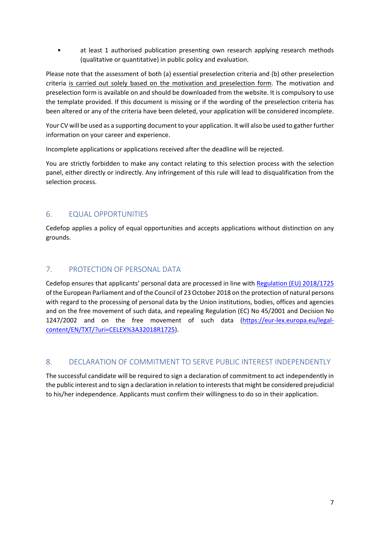• at least 1 authorised publication presenting own research applying research methods (qualitative or quantitative) in public policy and evaluation.

Please note that the assessment of both (a) essential preselection criteria and (b) other preselection criteria is carried out solely based on the motivation and preselection form. The motivation and preselection form is available on and should be downloaded from the website. It is compulsory to use the template provided. If this document is missing or if the wording of the preselection criteria has been altered or any of the criteria have been deleted, your application will be considered incomplete.

Your CV will be used as a supporting document to your application. It will also be used to gather further information on your career and experience.

Incomplete applications or applications received after the deadline will be rejected.

You are strictly forbidden to make any contact relating to this selection process with the selection panel, either directly or indirectly. Any infringement of this rule will lead to disqualification from the selection process.

## 6. EQUAL OPPORTUNITIES

Cedefop applies a policy of equal opportunities and accepts applications without distinction on any grounds.

## 7. PROTECTION OF PERSONAL DATA

Cedefop ensures that applicants' personal data are processed in line with [Regulation \(EU\) 2018/1725](https://eur-lex.europa.eu/legal-content/EN/TXT/?uri=CELEX%3A32018R1725) of the European Parliament and of the Council of 23 October 2018 on the protection of natural persons with regard to the processing of personal data by the Union institutions, bodies, offices and agencies and on the free movement of such data, and repealing Regulation (EC) No 45/2001 and Decision No 1247/2002 and on the free movement of such data [\(https://eur-lex.europa.eu/legal](https://eur-lex.europa.eu/legal-content/EN/TXT/?uri=CELEX%3A32018R1725)[content/EN/TXT/?uri=CELEX%3A32018R1725\)](https://eur-lex.europa.eu/legal-content/EN/TXT/?uri=CELEX%3A32018R1725).

## 8. DECLARATION OF COMMITMENT TO SERVE PUBLIC INTEREST INDEPENDENTLY

The successful candidate will be required to sign a declaration of commitment to act independently in the public interest and to sign a declaration in relation to interests that might be considered prejudicial to his/her independence. Applicants must confirm their willingness to do so in their application.